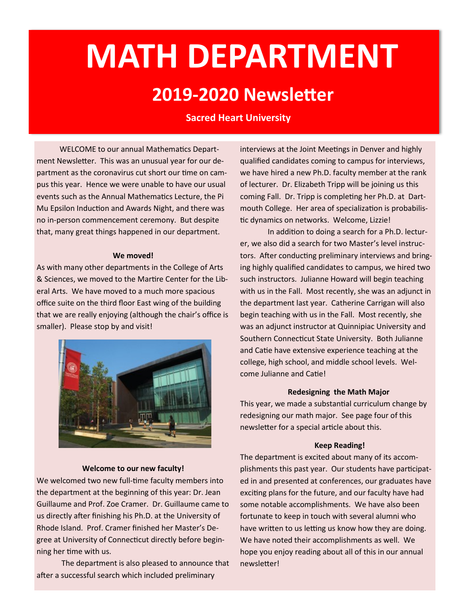# **MATH DEPARTMENT 2019-2020 Newsletter**

### **Sacred Heart University**

WELCOME to our annual Mathematics Department Newsletter. This was an unusual year for our department as the coronavirus cut short our time on campus this year. Hence we were unable to have our usual events such as the Annual Mathematics Lecture, the Pi Mu Epsilon Induction and Awards Night, and there was no in-person commencement ceremony. But despite that, many great things happened in our department.

#### **We moved!**

As with many other departments in the College of Arts & Sciences, we moved to the Martire Center for the Liberal Arts. We have moved to a much more spacious office suite on the third floor East wing of the building that we are really enjoying (although the chair's office is smaller). Please stop by and visit!



#### **Welcome to our new faculty!**

 ning her time with us. We welcomed two new full-time faculty members into the department at the beginning of this year: Dr. Jean Guillaume and Prof. Zoe Cramer. Dr. Guillaume came to us directly after finishing his Ph.D. at the University of Rhode Island. Prof. Cramer finished her Master's Degree at University of Connecticut directly before begin-

The department is also pleased to announce that after a successful search which included preliminary

 we have hired a new Ph.D. faculty member at the rank of lecturer. Dr. Elizabeth Tripp will be joining us this interviews at the Joint Meetings in Denver and highly qualified candidates coming to campus for interviews, coming Fall. Dr. Tripp is completing her Ph.D. at Dartmouth College. Her area of specialization is probabilistic dynamics on networks. Welcome, Lizzie!

 with us in the Fall. Most recently, she was an adjunct in the department last year. Catherine Carrigan will also begin teaching with us in the Fall. Most recently, she college, high school, and middle school levels. Wel-In addition to doing a search for a Ph.D. lecturer, we also did a search for two Master's level instructors. After conducting preliminary interviews and bringing highly qualified candidates to campus, we hired two such instructors. Julianne Howard will begin teaching was an adjunct instructor at Quinnipiac University and Southern Connecticut State University. Both Julianne and Catie have extensive experience teaching at the come Julianne and Catie!

### **Redesigning the Math Major**

 redesigning our math major. See page four of this This year, we made a substantial curriculum change by newsletter for a special article about this.

#### **Keep Reading!**

 plishments this past year. Our students have participat- We have noted their accomplishments as well. We The department is excited about many of its accomed in and presented at conferences, our graduates have exciting plans for the future, and our faculty have had some notable accomplishments. We have also been fortunate to keep in touch with several alumni who have written to us letting us know how they are doing. hope you enjoy reading about all of this in our annual newsletter!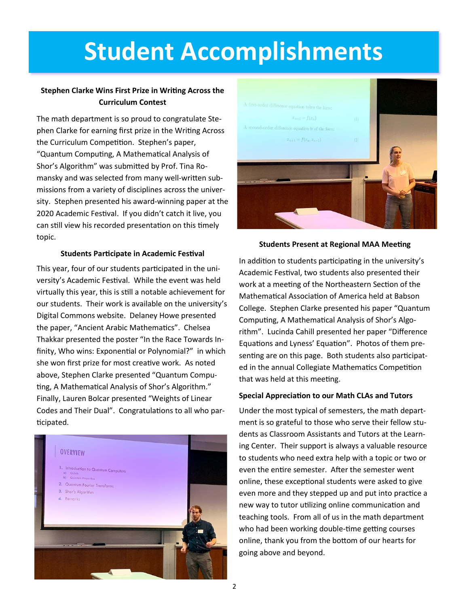# **Student Accomplishments**

### **Stephen Clarke Wins First Prize in Writing Across the Curriculum Contest**

 mansky and was selected from many well-written sub- can still view his recorded presentation on this timely The math department is so proud to congratulate Stephen Clarke for earning first prize in the Writing Across the Curriculum Competition. Stephen's paper, "Quantum Computing, A Mathematical Analysis of Shor's Algorithm" was submitted by Prof. Tina Romissions from a variety of disciplines across the university. Stephen presented his award-winning paper at the 2020 Academic Festival. If you didn't catch it live, you topic.

### **Students Participate in Academic Festival**

 versity's Academic Festival. While the event was held finity, Who wins: Exponential or Polynomial?" in which ting, A Mathematical Analysis of Shor's Algorithm." Codes and Their Dual". Congratulations to all who par-This year, four of our students participated in the univirtually this year, this is still a notable achievement for our students. Their work is available on the university's Digital Commons website. Delaney Howe presented the paper, "Ancient Arabic Mathematics". Chelsea Thakkar presented the poster "In the Race Towards Inshe won first prize for most creative work. As noted above, Stephen Clarke presented "Quantum Compu-Finally, Lauren Bolcar presented "Weights of Linear ticipated.





### **Students Present at Regional MAA Meeting**

 work at a meeting of the Northeastern Section of the senting are on this page. Both students also participat-In addition to students participating in the university's Academic Festival, two students also presented their Mathematical Association of America held at Babson College. Stephen Clarke presented his paper "Quantum Computing, A Mathematical Analysis of Shor's Algorithm". Lucinda Cahill presented her paper "Difference Equations and Lyness' Equation". Photos of them preed in the annual Collegiate Mathematics Competition that was held at this meeting.

### **Special Appreciation to our Math CLAs and Tutors**

 online, these exceptional students were asked to give teaching tools. From all of us in the math department online, thank you from the bottom of our hearts for Under the most typical of semesters, the math department is so grateful to those who serve their fellow students as Classroom Assistants and Tutors at the Learning Center. Their support is always a valuable resource to students who need extra help with a topic or two or even the entire semester. After the semester went even more and they stepped up and put into practice a new way to tutor utilizing online communication and who had been working double-time getting courses going above and beyond.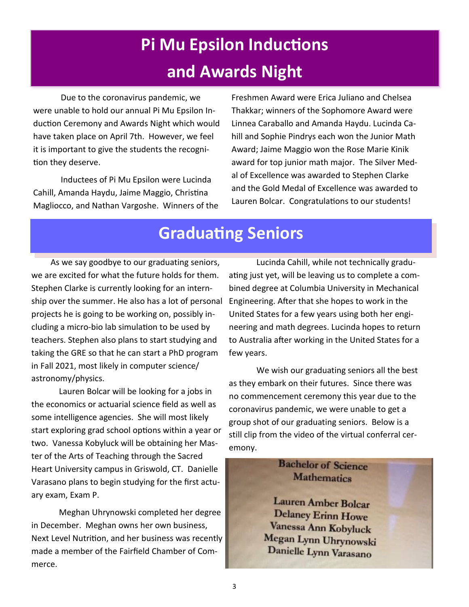### **Pi Mu Epsilon Inductions and Awards Night**

 Due to the coronavirus pandemic, we were unable to hold our annual Pi Mu Epsilon In- duction Ceremony and Awards Night which would have taken place on April 7th. However, we feel it is important to give the students the recognition they deserve.

 Inductees of Pi Mu Epsilon were Lucinda Magliocco, and Nathan Vargoshe. Winners of the Cahill, Amanda Haydu, Jaime Maggio, Christina

 Freshmen Award were Erica Juliano and Chelsea Thakkar; winners of the Sophomore Award were hill and Sophie Pindrys each won the Junior Math Award; Jaime Maggio won the Rose Marie Kinik award for top junior math major. The Silver Med- al of Excellence was awarded to Stephen Clarke and the Gold Medal of Excellence was awarded to Lauren Bolcar. Congratulations to our students! Linnea Caraballo and Amanda Haydu. Lucinda Ca-

### **Graduating Seniors**

 we are excited for what the future holds for them. Stephen Clarke is currently looking for an intern- ship over the summer. He also has a lot of personal projects he is going to be working on, possibly in- cluding a micro-bio lab simulation to be used by teachers. Stephen also plans to start studying and taking the GRE so that he can start a PhD program in Fall 2021, most likely in computer science/ As we say goodbye to our graduating seniors, astronomy/physics.

 Lauren Bolcar will be looking for a jobs in the economics or actuarial science field as well as some intelligence agencies. She will most likely start exploring grad school options within a year or ter of the Arts of Teaching through the Sacred Heart University campus in Griswold, CT. Danielle Varasano plans to begin studying for the first actutwo. Vanessa Kobyluck will be obtaining her Masary exam, Exam P.

 Meghan Uhrynowski completed her degree in December. Meghan owns her own business, Next Level Nutrition, and her business was recently made a member of the Fairfield Chamber of Commerce.

 ating just yet, will be leaving us to complete a com- bined degree at Columbia University in Mechanical Engineering. After that she hopes to work in the United States for a few years using both her engi- neering and math degrees. Lucinda hopes to return to Australia after working in the United States for a Lucinda Cahill, while not technically gradufew years.

 We wish our graduating seniors all the best as they embark on their futures. Since there was no commencement ceremony this year due to the group shot of our graduating seniors. Below is a still clip from the video of the virtual conferral cercoronavirus pandemic, we were unable to get a emony.

### **Bachelor of Science Mathematics**

Lauren Amber Bolcar Delaney Erinn Howe Vanessa Ann Kobyluck Megan Lynn Uhrynowski Danielle Lynn Varasano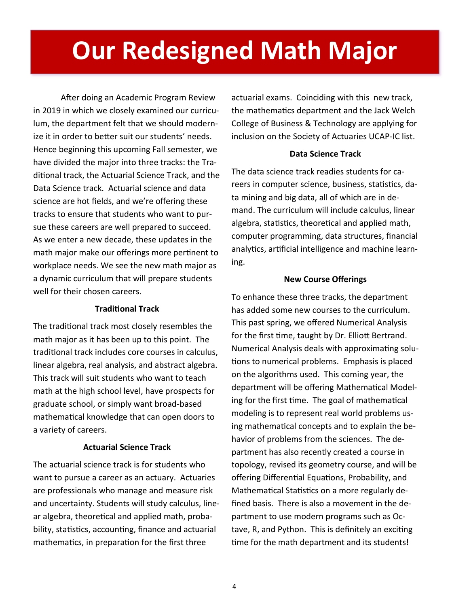# **Our Redesigned Math Major**

 After doing an Academic Program Review in 2019 in which we closely examined our curricu- lum, the department felt that we should modern- ize it in order to better suit our students' needs. Hence beginning this upcoming Fall semester, we have divided the major into three tracks: the Tra- ditional track, the Actuarial Science Track, and the Data Science track. Actuarial science and data science are hot fields, and we're offering these tracks to ensure that students who want to pur- sue these careers are well prepared to succeed. As we enter a new decade, these updates in the math major make our offerings more pertinent to a dynamic curriculum that will prepare students well for their chosen careers. workplace needs. We see the new math major as

### **Traditional Track**

 The traditional track most closely resembles the math major as it has been up to this point. The traditional track includes core courses in calculus, linear algebra, real analysis, and abstract algebra. This track will suit students who want to teach math at the high school level, have prospects for graduate school, or simply want broad-based mathematical knowledge that can open doors to a variety of careers.

### **Actuarial Science Track**

 The actuarial science track is for students who want to pursue a career as an actuary. Actuaries are professionals who manage and measure risk and uncertainty. Students will study calculus, line- ar algebra, theoretical and applied math, proba- mathematics, in preparation for the first three bility, statistics, accounting, finance and actuarial

 actuarial exams. Coinciding with this new track, the mathematics department and the Jack Welch College of Business & Technology are applying for inclusion on the Society of Actuaries UCAP-IC list.

### **Data Science Track**

 The data science track readies students for ca- ta mining and big data, all of which are in de- algebra, statistics, theoretical and applied math, analytics, artificial intelligence and machine learnreers in computer science, business, statistics, damand. The curriculum will include calculus, linear computer programming, data structures, financial ing.

### **New Course Offerings**

 To enhance these three tracks, the department has added some new courses to the curriculum. This past spring, we offered Numerical Analysis for the first time, taught by Dr. Elliott Bertrand. Numerical Analysis deals with approximating solu- tions to numerical problems. Emphasis is placed on the algorithms used. This coming year, the department will be offering Mathematical Model- ing for the first time. The goal of mathematical modeling is to represent real world problems us- ing mathematical concepts and to explain the be- havior of problems from the sciences. The de- partment has also recently created a course in Mathematical Statistics on a more regularly de- fined basis. There is also a movement in the de- tave, R, and Python. This is definitely an exciting time for the math department and its students! topology, revised its geometry course, and will be offering Differential Equations, Probability, and partment to use modern programs such as Oc-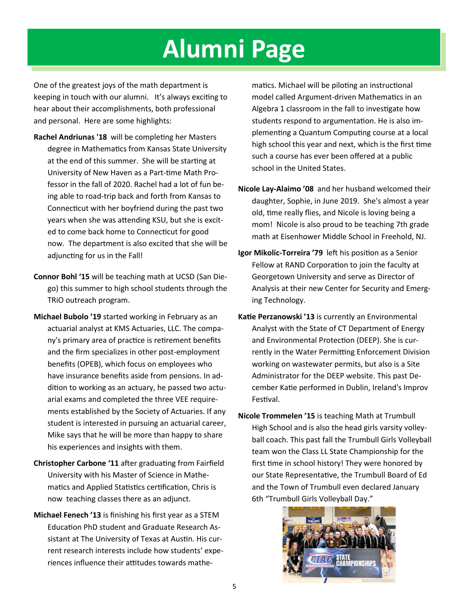# **Alumni Page**

 keeping in touch with our alumni. It's always exciting to and personal. Here are some highlights: One of the greatest joys of the math department is hear about their accomplishments, both professional

- **Rachel Andriunas '18** will be completing her Masters degree in Mathematics from Kansas State University at the end of this summer. She will be starting at University of New Haven as a Part-time Math Professor in the fall of 2020. Rachel had a lot of fun being able to road-trip back and forth from Kansas to Connecticut with her boyfriend during the past two years when she was attending KSU, but she is excited to come back home to Connecticut for good now. The department is also excited that she will be adjuncting for us in the Fall!
- **Connor Bohl '15** will be teaching math at UCSD (San Diego) this summer to high school students through the TRiO outreach program.
- **Michael Bubolo '19** started working in February as an arial exams and completed the three VEE requireactuarial analyst at KMS Actuaries, LLC. The company's primary area of practice is retirement benefits and the firm specializes in other post-employment benefits (OPEB), which focus on employees who have insurance benefits aside from pensions. In addition to working as an actuary, he passed two actuments established by the Society of Actuaries. If any student is interested in pursuing an actuarial career, Mike says that he will be more than happy to share his experiences and insights with them.
- **Christopher Carbone '11** after graduating from Fairfield University with his Master of Science in Mathematics and Applied Statistics certification, Chris is now teaching classes there as an adjunct.
- **Michael Fenech '13** is finishing his first year as a STEM Education PhD student and Graduate Research Assistant at The University of Texas at Austin. His current research interests include how students' experiences influence their attitudes towards mathe-

matics. Michael will be piloting an instructional model called Argument-driven Mathematics in an Algebra 1 classroom in the fall to investigate how students respond to argumentation. He is also implementing a Quantum Computing course at a local high school this year and next, which is the first time such a course has ever been offered at a public school in the United States.

- math at Eisenhower Middle School in Freehold, NJ. **Nicole Lay-Alaimo '08** and her husband welcomed their daughter, Sophie, in June 2019. She's almost a year old, time really flies, and Nicole is loving being a mom! Nicole is also proud to be teaching 7th grade
- **Igor Mikolic-Torreira '79** left his position as a Senior Fellow at RAND Corporation to join the faculty at Georgetown University and serve as Director of Analysis at their new Center for Security and Emerging Technology.
- working on wastewater permits, but also is a Site **Katie Perzanowski '13** is currently an Environmental Analyst with the State of CT Department of Energy and Environmental Protection (DEEP). She is currently in the Water Permitting Enforcement Division Administrator for the DEEP website. This past December Katie performed in Dublin, Ireland's Improv Festival.
- **Nicole Trommelen '15** is teaching Math at Trumbull High School and is also the head girls varsity volleyball coach. This past fall the Trumbull Girls Volleyball team won the Class LL State Championship for the first time in school history! They were honored by our State Representative, the Trumbull Board of Ed and the Town of Trumbull even declared January 6th "Trumbull Girls Volleyball Day."

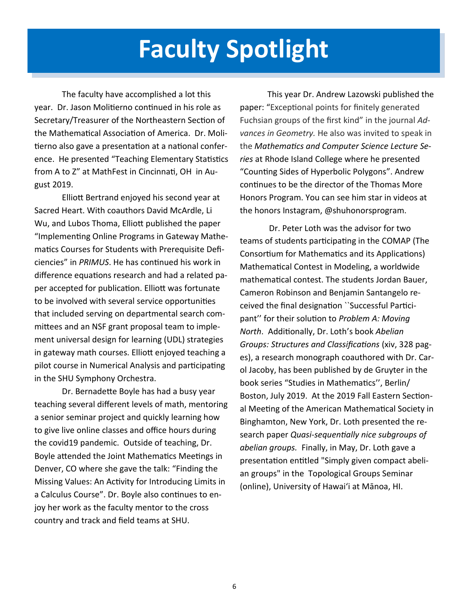## **Faculty Spotlight**

 The faculty have accomplished a lot this year. Dr. Jason Molitierno continued in his role as Secretary/Treasurer of the Northeastern Section of the Mathematical Association of America. Dr. Moli- tierno also gave a presentation at a national confer- ence. He presented "Teaching Elementary Statistics from A to Z" at MathFest in Cincinnati, OH in August 2019.

 Elliott Bertrand enjoyed his second year at Sacred Heart. With coauthors David McArdle, Li Wu, and Lubos Thoma, Elliott published the paper "Implementing Online Programs in Gateway Mathe- ciencies" in *PRIMUS*. He has continued his work in difference equations research and had a related pa- per accepted for publication. Elliott was fortunate to be involved with several service opportunities that included serving on departmental search com- mittees and an NSF grant proposal team to imple- in gateway math courses. Elliott enjoyed teaching a pilot course in Numerical Analysis and participating in the SHU Symphony Orchestra. matics Courses for Students with Prerequisite Defiment universal design for learning (UDL) strategies

 Dr. Bernadette Boyle has had a busy year teaching several different levels of math, mentoring a senior seminar project and quickly learning how to give live online classes and office hours during the covid19 pandemic. Outside of teaching, Dr. Boyle attended the Joint Mathematics Meetings in Denver, CO where she gave the talk: "Finding the Missing Values: An Activity for Introducing Limits in a Calculus Course". Dr. Boyle also continues to en- joy her work as the faculty mentor to the cross country and track and field teams at SHU.

 This year Dr. Andrew Lazowski published the paper: "Exceptional points for finitely generated Fuchsian groups of the first kind" in the journal *Ad- vances in Geometry.* He also was invited to speak in  the *Mathematics and Computer Science Lecture Se- ries* at Rhode Island College where he presented Honors Program. You can see him star in videos at "Counting Sides of Hyperbolic Polygons". Andrew continues to be the director of the Thomas More the honors Instagram, @shuhonorsprogram.

 teams of students participating in the COMAP (The Consortium for Mathematics and its Applications) Mathematical Contest in Modeling, a worldwide Cameron Robinson and Benjamin Santangelo re- ceived the final designation ``Successful Partici- pant'' for their solution to *Problem A: Moving* es), a research monograph coauthored with Dr. Car- ol Jacoby, has been published by de Gruyter in the book series "Studies in Mathematics'', Berlin/ Boston, July 2019. At the 2019 Fall Eastern Section- al Meeting of the American Mathematical Society in *abelian groups.* Finally, in May, Dr. Loth gave a presentation entitled "Simply given compact abeli- an groups" in the Topological Groups Seminar Dr. Peter Loth was the advisor for two mathematical contest. The students Jordan Bauer, *North*. Additionally, Dr. Loth's book *Abelian Groups: Structures and Classifications* (xiv, 328 pag-Binghamton, New York, Dr. Loth presented the research paper *Quasi-sequentially nice subgroups of* (online), University of Hawaiʻi at Mānoa, HI.